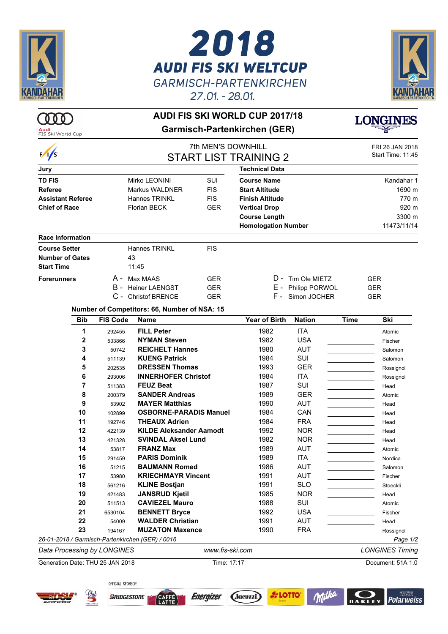

## 2018 **AUDI FIS SKI WELTCUP GARMISCH-PARTENKIRCHEN** 27.01. - 28.01.





## **AUDI FIS SKI WORLD CUP 2017/18 Garmisch-Partenkirchen (GER)**



| FIS Ski World Cup                |                 |                                                  |                                                    |                            |                    |             | FRI 26 JAN 2018        |
|----------------------------------|-----------------|--------------------------------------------------|----------------------------------------------------|----------------------------|--------------------|-------------|------------------------|
| $\sqrt{s}$                       |                 |                                                  | 7th MEN'S DOWNHILL<br><b>START LIST TRAINING 2</b> |                            |                    |             |                        |
| Jury                             |                 |                                                  |                                                    | <b>Technical Data</b>      |                    |             |                        |
| <b>TD FIS</b>                    |                 | Mirko LEONINI                                    | SUI                                                | <b>Course Name</b>         |                    |             | Kandahar 1             |
| <b>Referee</b>                   |                 | Markus WALDNER                                   | <b>FIS</b>                                         | <b>Start Altitude</b>      |                    |             | 1690 m                 |
| <b>Assistant Referee</b>         |                 | <b>Hannes TRINKL</b>                             | <b>FIS</b>                                         | <b>Finish Altitude</b>     |                    |             | 770 m                  |
| <b>Chief of Race</b>             |                 | <b>Florian BECK</b><br><b>GER</b>                |                                                    | <b>Vertical Drop</b>       |                    |             | 920 m                  |
|                                  |                 |                                                  |                                                    | <b>Course Length</b>       |                    |             | 3300 m                 |
|                                  |                 |                                                  |                                                    | <b>Homologation Number</b> |                    |             | 11473/11/14            |
| <b>Race Information</b>          |                 |                                                  |                                                    |                            |                    |             |                        |
| <b>Course Setter</b>             |                 | <b>Hannes TRINKL</b>                             | <b>FIS</b>                                         |                            |                    |             |                        |
| <b>Number of Gates</b>           |                 | 43                                               |                                                    |                            |                    |             |                        |
| <b>Start Time</b>                |                 | 11:45                                            |                                                    |                            |                    |             |                        |
| <b>Forerunners</b>               | A -             | Max MAAS                                         | <b>GER</b>                                         |                            | D - Tim Ole MIETZ  |             | <b>GER</b>             |
|                                  | в -             | <b>Heiner LAENGST</b>                            | <b>GER</b>                                         |                            | E - Philipp PORWOL |             | <b>GER</b>             |
|                                  |                 | C - Christof BRENCE                              | <b>GER</b>                                         |                            | F - Simon JOCHER   |             | <b>GER</b>             |
|                                  |                 | Number of Competitors: 66, Number of NSA: 15     |                                                    |                            |                    |             |                        |
| <b>Bib</b>                       | <b>FIS Code</b> | <b>Name</b>                                      |                                                    | <b>Year of Birth</b>       | <b>Nation</b>      | <b>Time</b> | Ski                    |
| 1                                | 292455          | <b>FILL Peter</b>                                |                                                    | 1982                       | <b>ITA</b>         |             | Atomic                 |
| 2                                | 533866          | <b>NYMAN Steven</b>                              |                                                    | 1982                       | <b>USA</b>         |             | Fischer                |
| 3                                | 50742           | <b>REICHELT Hannes</b>                           |                                                    | 1980                       | <b>AUT</b>         |             | Salomon                |
| 4                                | 511139          | <b>KUENG Patrick</b>                             |                                                    | 1984                       | SUI                |             | Salomon                |
| 5                                | 202535          | <b>DRESSEN Thomas</b>                            |                                                    | 1993                       | <b>GER</b>         |             | Rossignol              |
| 6                                | 293006          | <b>INNERHOFER Christof</b>                       |                                                    | 1984                       | <b>ITA</b>         |             | Rossignol              |
| 7                                | 511383          | <b>FEUZ Beat</b>                                 |                                                    | 1987                       | SUI                |             | Head                   |
| 8                                | 200379          | <b>SANDER Andreas</b>                            |                                                    | 1989                       | <b>GER</b>         |             | Atomic                 |
| 9                                | 53902           | <b>MAYER Matthias</b>                            |                                                    | 1990                       | <b>AUT</b>         |             | Head                   |
| 10                               | 102899          | <b>OSBORNE-PARADIS Manuel</b>                    |                                                    | 1984                       | CAN                |             | Head                   |
| 11                               | 192746          | <b>THEAUX Adrien</b>                             |                                                    | 1984                       | <b>FRA</b>         |             | Head                   |
| 12                               | 422139          | <b>KILDE Aleksander Aamodt</b>                   |                                                    | 1992                       | <b>NOR</b>         |             | Head                   |
| 13                               | 421328          | <b>SVINDAL Aksel Lund</b>                        |                                                    | 1982                       | <b>NOR</b>         |             | Head                   |
| 14                               | 53817           | <b>FRANZ Max</b>                                 |                                                    | 1989                       | <b>AUT</b>         |             | Atomic                 |
| 15                               | 291459          | <b>PARIS Dominik</b>                             |                                                    | 1989                       | <b>ITA</b>         |             | Nordica                |
| 16                               | 51215           | <b>BAUMANN Romed</b>                             |                                                    | 1986                       | <b>AUT</b>         |             | Salomon                |
| 17                               | 53980           | <b>KRIECHMAYR Vincent</b>                        |                                                    | 1991                       | <b>AUT</b>         |             | Fischer                |
| 18                               | 561216          | <b>KLINE Bostjan</b>                             |                                                    | 1991                       | <b>SLO</b>         |             | Stoeckli               |
| 19                               | 421483          | <b>JANSRUD Kjetil</b>                            |                                                    | 1985                       | <b>NOR</b>         |             | Head                   |
| 20                               | 511513          | <b>CAVIEZEL Mauro</b>                            |                                                    | 1988                       | SUI                |             | Atomic                 |
| 21                               | 6530104         | <b>BENNETT Bryce</b>                             |                                                    | 1992                       | <b>USA</b>         |             | Fischer                |
| 22                               | 54009           | <b>WALDER Christian</b>                          |                                                    | 1991                       | <b>AUT</b>         |             | Head                   |
| 23                               | 194167          | <b>MUZATON Maxence</b>                           |                                                    | 1990                       | <b>FRA</b>         |             | Rossignol              |
|                                  |                 | 26-01-2018 / Garmisch-Partenkirchen (GER) / 0016 |                                                    |                            |                    |             | Page 1/2               |
| Data Processing by LONGINES      |                 |                                                  | www.fis-ski.com                                    |                            |                    |             | <b>LONGINES Timing</b> |
| Generation Date: THU 25 JAN 2018 |                 |                                                  | Time: 17:17                                        |                            |                    |             | Document: 51A 1.0      |
|                                  |                 |                                                  |                                                    |                            |                    |             |                        |



OFFICIAL SPONSOR



**A** LOTTO